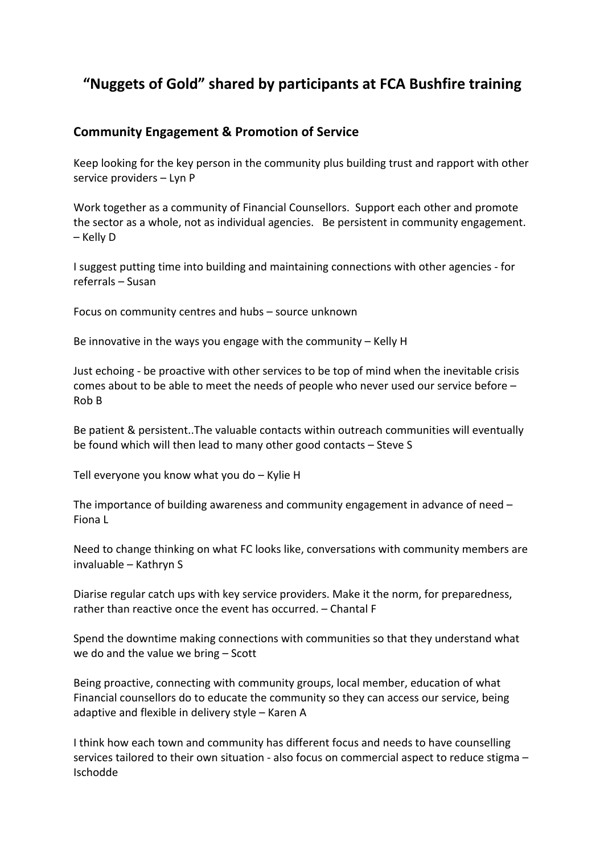## **"Nuggets of Gold" shared by participants at FCA Bushfire training**

## **Community Engagement & Promotion of Service**

Keep looking for the key person in the community plus building trust and rapport with other service providers – Lyn P

Work together as a community of Financial Counsellors. Support each other and promote the sector as a whole, not as individual agencies. Be persistent in community engagement. – Kelly D

I suggest putting time into building and maintaining connections with other agencies - for referrals – Susan

Focus on community centres and hubs – source unknown

Be innovative in the ways you engage with the community – Kelly H

Just echoing - be proactive with other services to be top of mind when the inevitable crisis comes about to be able to meet the needs of people who never used our service before – Rob B

Be patient & persistent..The valuable contacts within outreach communities will eventually be found which will then lead to many other good contacts – Steve S

Tell everyone you know what you do – Kylie H

The importance of building awareness and community engagement in advance of need – Fiona L

Need to change thinking on what FC looks like, conversations with community members are invaluable – Kathryn S

Diarise regular catch ups with key service providers. Make it the norm, for preparedness, rather than reactive once the event has occurred. – Chantal F

Spend the downtime making connections with communities so that they understand what we do and the value we bring – Scott

Being proactive, connecting with community groups, local member, education of what Financial counsellors do to educate the community so they can access our service, being adaptive and flexible in delivery style – Karen A

I think how each town and community has different focus and needs to have counselling services tailored to their own situation - also focus on commercial aspect to reduce stigma – Ischodde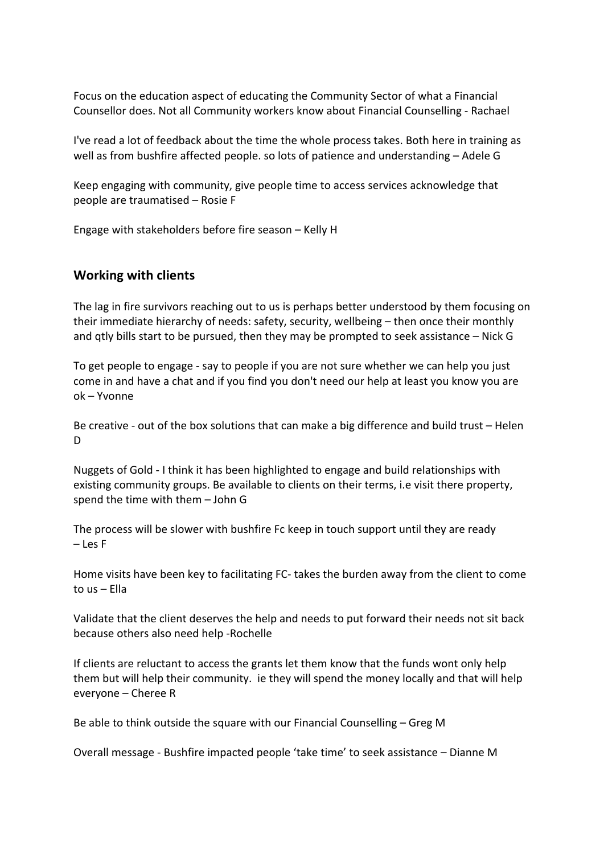Focus on the education aspect of educating the Community Sector of what a Financial Counsellor does. Not all Community workers know about Financial Counselling - Rachael

I've read a lot of feedback about the time the whole process takes. Both here in training as well as from bushfire affected people. so lots of patience and understanding – Adele G

Keep engaging with community, give people time to access services acknowledge that people are traumatised – Rosie F

Engage with stakeholders before fire season – Kelly H

## **Working with clients**

The lag in fire survivors reaching out to us is perhaps better understood by them focusing on their immediate hierarchy of needs: safety, security, wellbeing – then once their monthly and qtly bills start to be pursued, then they may be prompted to seek assistance – Nick G

To get people to engage - say to people if you are not sure whether we can help you just come in and have a chat and if you find you don't need our help at least you know you are ok – Yvonne

Be creative - out of the box solutions that can make a big difference and build trust – Helen D

Nuggets of Gold - I think it has been highlighted to engage and build relationships with existing community groups. Be available to clients on their terms, i.e visit there property, spend the time with them – John G

The process will be slower with bushfire Fc keep in touch support until they are ready – Les F

Home visits have been key to facilitating FC- takes the burden away from the client to come to us – Ella

Validate that the client deserves the help and needs to put forward their needs not sit back because others also need help -Rochelle

If clients are reluctant to access the grants let them know that the funds wont only help them but will help their community. ie they will spend the money locally and that will help everyone – Cheree R

Be able to think outside the square with our Financial Counselling – Greg M

Overall message - Bushfire impacted people 'take time' to seek assistance – Dianne M